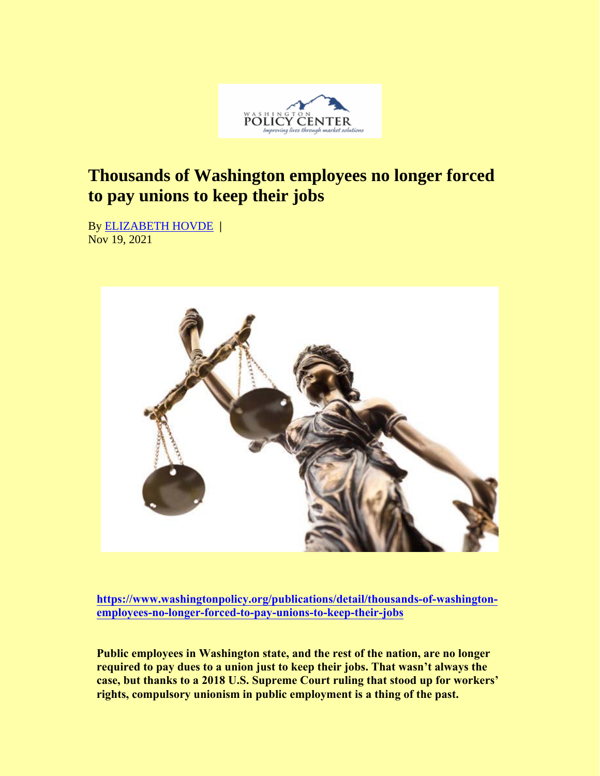

## **Thousands of Washington employees no longer forced to pay unions to keep their jobs**

By ELIZABETH HOVDE **|**  Nov 19, 2021



**[https://www.washingtonpolicy.org/publications/detail/thousands-of-washingt](https://www.washingtonpolicy.org/publications/detail/thousands-of-washington-employees-no-longer-forced-to-pay-unions-to-keep-their-jobs)onemploye[es-no-longer-forced-to-pay-unions-to-keep-their-jo](https://www.washingtonpolicy.org/publications/detail/thousands-of-washington-employees-no-longer-forced-to-pay-unions-to-keep-their-jobs)bs**

**Public employees in Washington state, and the rest of the nation, are no longer required to pay dues to a union just to keep their jobs. That wasn't always the case, but thanks to a 2018 U.S. Supreme Court ruling that stood up for workers' rights, compulsory unionism in public employment is a thing of the past.**